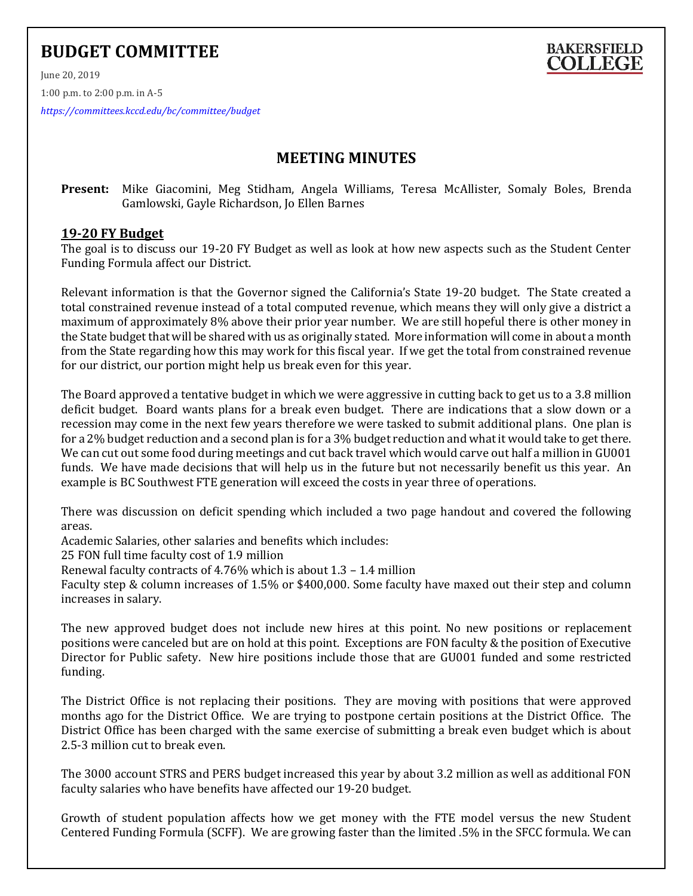## **BUDGET COMMITTEE**

June 20, 2019 1:00 p.m. to 2:00 p.m. in A-5

*<https://committees.kccd.edu/bc/committee/budget>*

## **MEETING MINUTES**

**BAKERSFIELD COLLEGE** 

## **Present:** Mike Giacomini, Meg Stidham, Angela Williams, Teresa McAllister, Somaly Boles, Brenda Gamlowski, Gayle Richardson, Jo Ellen Barnes

## **19-20 FY Budget**

The goal is to discuss our 19-20 FY Budget as well as look at how new aspects such as the Student Center Funding Formula affect our District.

Relevant information is that the Governor signed the California's State 19-20 budget. The State created a total constrained revenue instead of a total computed revenue, which means they will only give a district a maximum of approximately 8% above their prior year number. We are still hopeful there is other money in the State budget that will be shared with us as originally stated. More information will come in about a month from the State regarding how this may work for this fiscal year. If we get the total from constrained revenue for our district, our portion might help us break even for this year.

The Board approved a tentative budget in which we were aggressive in cutting back to get us to a 3.8 million deficit budget. Board wants plans for a break even budget. There are indications that a slow down or a recession may come in the next few years therefore we were tasked to submit additional plans. One plan is for a 2% budget reduction and a second plan is for a 3% budget reduction and what it would take to get there. We can cut out some food during meetings and cut back travel which would carve out half a million in GU001 funds. We have made decisions that will help us in the future but not necessarily benefit us this year. An example is BC Southwest FTE generation will exceed the costs in year three of operations.

There was discussion on deficit spending which included a two page handout and covered the following areas.

Academic Salaries, other salaries and benefits which includes:

25 FON full time faculty cost of 1.9 million

Renewal faculty contracts of 4.76% which is about 1.3 – 1.4 million

Faculty step & column increases of 1.5% or \$400,000. Some faculty have maxed out their step and column increases in salary.

The new approved budget does not include new hires at this point. No new positions or replacement positions were canceled but are on hold at this point. Exceptions are FON faculty & the position of Executive Director for Public safety. New hire positions include those that are GU001 funded and some restricted funding.

The District Office is not replacing their positions. They are moving with positions that were approved months ago for the District Office. We are trying to postpone certain positions at the District Office. The District Office has been charged with the same exercise of submitting a break even budget which is about 2.5-3 million cut to break even.

The 3000 account STRS and PERS budget increased this year by about 3.2 million as well as additional FON faculty salaries who have benefits have affected our 19-20 budget.

Growth of student population affects how we get money with the FTE model versus the new Student Centered Funding Formula (SCFF). We are growing faster than the limited .5% in the SFCC formula. We can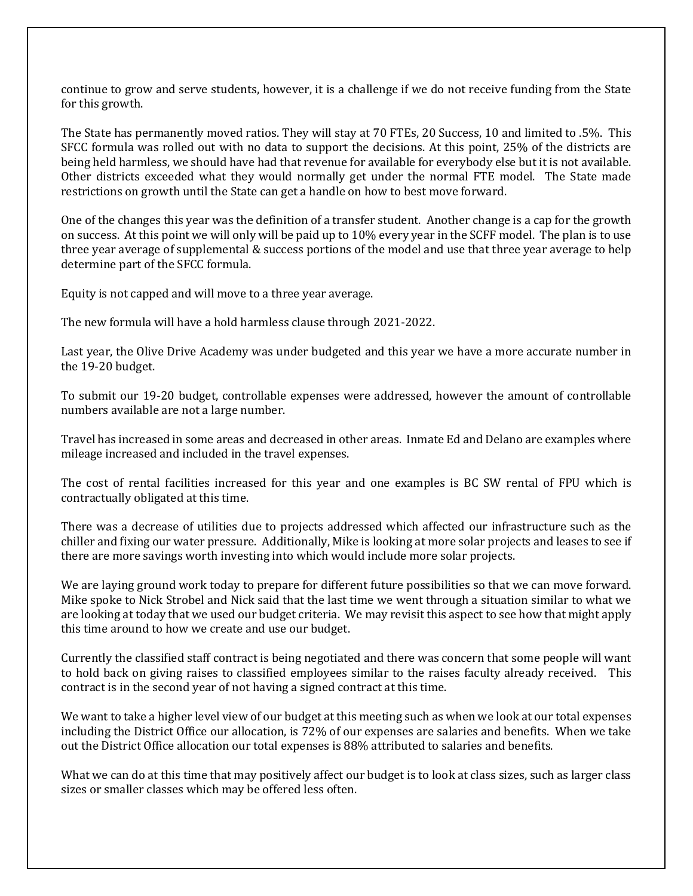continue to grow and serve students, however, it is a challenge if we do not receive funding from the State for this growth.

The State has permanently moved ratios. They will stay at 70 FTEs, 20 Success, 10 and limited to .5%. This SFCC formula was rolled out with no data to support the decisions. At this point, 25% of the districts are being held harmless, we should have had that revenue for available for everybody else but it is not available. Other districts exceeded what they would normally get under the normal FTE model. The State made restrictions on growth until the State can get a handle on how to best move forward.

One of the changes this year was the definition of a transfer student. Another change is a cap for the growth on success. At this point we will only will be paid up to 10% every year in the SCFF model. The plan is to use three year average of supplemental & success portions of the model and use that three year average to help determine part of the SFCC formula.

Equity is not capped and will move to a three year average.

The new formula will have a hold harmless clause through 2021-2022.

Last year, the Olive Drive Academy was under budgeted and this year we have a more accurate number in the 19-20 budget.

To submit our 19-20 budget, controllable expenses were addressed, however the amount of controllable numbers available are not a large number.

Travel has increased in some areas and decreased in other areas. Inmate Ed and Delano are examples where mileage increased and included in the travel expenses.

The cost of rental facilities increased for this year and one examples is BC SW rental of FPU which is contractually obligated at this time.

There was a decrease of utilities due to projects addressed which affected our infrastructure such as the chiller and fixing our water pressure. Additionally, Mike is looking at more solar projects and leases to see if there are more savings worth investing into which would include more solar projects.

We are laying ground work today to prepare for different future possibilities so that we can move forward. Mike spoke to Nick Strobel and Nick said that the last time we went through a situation similar to what we are looking at today that we used our budget criteria. We may revisit this aspect to see how that might apply this time around to how we create and use our budget.

Currently the classified staff contract is being negotiated and there was concern that some people will want to hold back on giving raises to classified employees similar to the raises faculty already received. This contract is in the second year of not having a signed contract at this time.

We want to take a higher level view of our budget at this meeting such as when we look at our total expenses including the District Office our allocation, is 72% of our expenses are salaries and benefits. When we take out the District Office allocation our total expenses is 88% attributed to salaries and benefits.

What we can do at this time that may positively affect our budget is to look at class sizes, such as larger class sizes or smaller classes which may be offered less often.